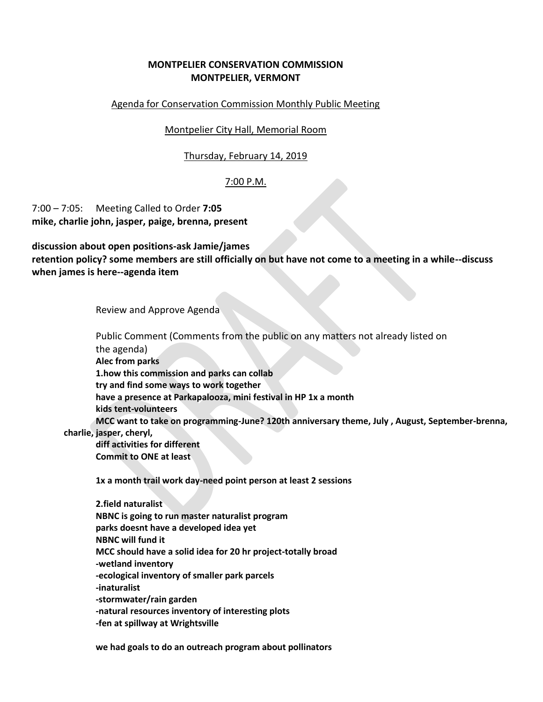# **MONTPELIER CONSERVATION COMMISSION MONTPELIER, VERMONT**

### Agenda for Conservation Commission Monthly Public Meeting

Montpelier City Hall, Memorial Room

## Thursday, February 14, 2019

# 7:00 P.M.

7:00 – 7:05: Meeting Called to Order **7:05 mike, charlie john, jasper, paige, brenna, present**

**discussion about open positions-ask Jamie/james retention policy? some members are still officially on but have not come to a meeting in a while--discuss when james is here--agenda item**

Review and Approve Agenda

Public Comment (Comments from the public on any matters not already listed on the agenda) **Alec from parks 1.how this commission and parks can collab try and find some ways to work together have a presence at Parkapalooza, mini festival in HP 1x a month kids tent-volunteers MCC want to take on programming-June? 120th anniversary theme, July , August, September-brenna, charlie, jasper, cheryl,** 

**diff activities for different Commit to ONE at least** 

**1x a month trail work day-need point person at least 2 sessions**

**2.field naturalist NBNC is going to run master naturalist program parks doesnt have a developed idea yet NBNC will fund it MCC should have a solid idea for 20 hr project-totally broad -wetland inventory -ecological inventory of smaller park parcels -inaturalist -stormwater/rain garden -natural resources inventory of interesting plots -fen at spillway at Wrightsville**

**we had goals to do an outreach program about pollinators**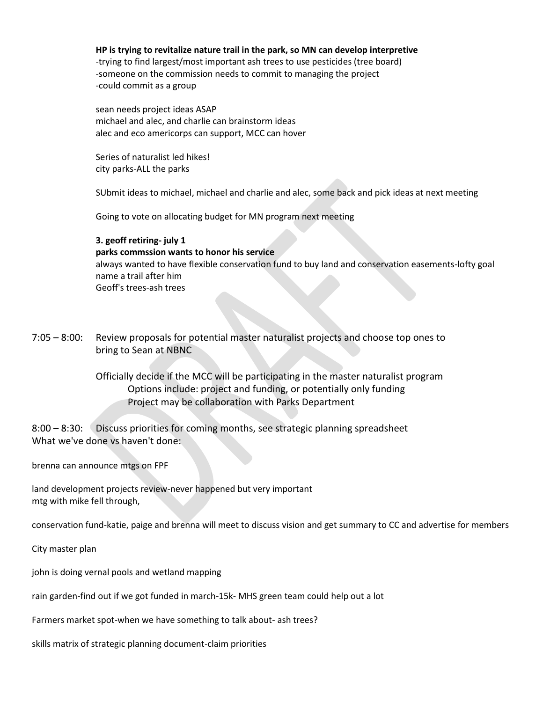#### **HP is trying to revitalize nature trail in the park, so MN can develop interpretive**

-trying to find largest/most important ash trees to use pesticides (tree board) -someone on the commission needs to commit to managing the project -could commit as a group

sean needs project ideas ASAP michael and alec, and charlie can brainstorm ideas alec and eco americorps can support, MCC can hover

Series of naturalist led hikes! city parks-ALL the parks

SUbmit ideas to michael, michael and charlie and alec, some back and pick ideas at next meeting

Going to vote on allocating budget for MN program next meeting

### **3. geoff retiring- july 1**

### **parks commssion wants to honor his service**

always wanted to have flexible conservation fund to buy land and conservation easements-lofty goal name a trail after him Geoff's trees-ash trees

7:05 – 8:00: Review proposals for potential master naturalist projects and choose top ones to bring to Sean at NBNC

> Officially decide if the MCC will be participating in the master naturalist program Options include: project and funding, or potentially only funding Project may be collaboration with Parks Department

8:00 – 8:30: Discuss priorities for coming months, see strategic planning spreadsheet What we've done vs haven't done:

brenna can announce mtgs on FPF

land development projects review-never happened but very important mtg with mike fell through,

conservation fund-katie, paige and brenna will meet to discuss vision and get summary to CC and advertise for members

City master plan

john is doing vernal pools and wetland mapping

rain garden-find out if we got funded in march-15k- MHS green team could help out a lot

Farmers market spot-when we have something to talk about- ash trees?

skills matrix of strategic planning document-claim priorities